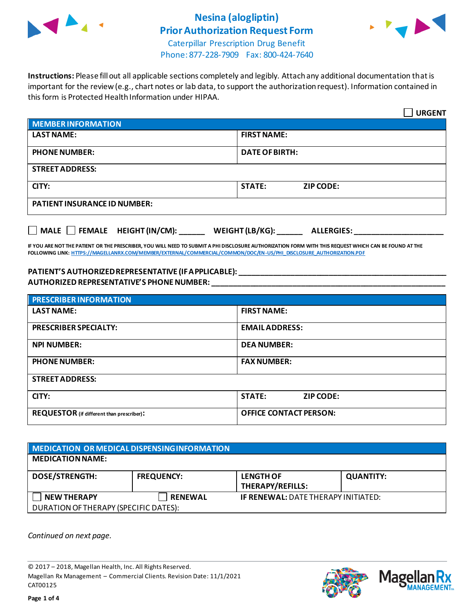

## **Nesina (alogliptin) Prior Authorization Request Form**



Caterpillar Prescription Drug Benefit Phone: 877-228-7909 Fax: 800-424-7640

**Instructions:** Please fill out all applicable sections completely and legibly. Attach any additional documentation that is important for the review (e.g., chart notes or lab data, to support the authorization request). Information contained in this form is Protected Health Information under HIPAA.

|                                                                                   | <b>URGENT</b>                     |  |  |  |
|-----------------------------------------------------------------------------------|-----------------------------------|--|--|--|
| <b>MEMBER INFORMATION</b>                                                         |                                   |  |  |  |
| <b>LAST NAME:</b>                                                                 | <b>FIRST NAME:</b>                |  |  |  |
| <b>PHONE NUMBER:</b>                                                              | <b>DATE OF BIRTH:</b>             |  |  |  |
| <b>STREET ADDRESS:</b>                                                            |                                   |  |  |  |
| CITY:                                                                             | <b>STATE:</b><br><b>ZIP CODE:</b> |  |  |  |
| <b>PATIENT INSURANCE ID NUMBER:</b>                                               |                                   |  |  |  |
| $\Box$ MALE $\Box$ FEMALE HEIGHT (IN/CM):<br>WEIGHT (LB/KG):<br><b>ALLERGIES:</b> |                                   |  |  |  |

**IF YOU ARE NOT THE PATIENT OR THE PRESCRIBER, YOU WILL NEED TO SUBMIT A PHI DISCLOSURE AUTHORIZATION FORM WITH THIS REQUEST WHICH CAN BE FOUND AT THE FOLLOWING LINK[: HTTPS://MAGELLANRX.COM/MEMBER/EXTERNAL/COMMERCIAL/COMMON/DOC/EN-US/PHI\\_DISCLOSURE\\_AUTHORIZATION.PDF](https://magellanrx.com/member/external/commercial/common/doc/en-us/PHI_Disclosure_Authorization.pdf)**

#### **PATIENT'S AUTHORIZED REPRESENTATIVE (IF APPLICABLE): \_\_\_\_\_\_\_\_\_\_\_\_\_\_\_\_\_\_\_\_\_\_\_\_\_\_\_\_\_\_\_\_\_\_\_\_\_\_\_\_\_\_\_\_\_\_\_\_\_ AUTHORIZED REPRESENTATIVE'S PHONE NUMBER: \_\_\_\_\_\_\_\_\_\_\_\_\_\_\_\_\_\_\_\_\_\_\_\_\_\_\_\_\_\_\_\_\_\_\_\_\_\_\_\_\_\_\_\_\_\_\_\_\_\_\_\_\_\_\_**

| <b>PRESCRIBER INFORMATION</b>             |                                   |  |  |  |
|-------------------------------------------|-----------------------------------|--|--|--|
| <b>LAST NAME:</b>                         | <b>FIRST NAME:</b>                |  |  |  |
| <b>PRESCRIBER SPECIALTY:</b>              | <b>EMAIL ADDRESS:</b>             |  |  |  |
| <b>NPI NUMBER:</b>                        | <b>DEA NUMBER:</b>                |  |  |  |
| <b>PHONE NUMBER:</b>                      | <b>FAX NUMBER:</b>                |  |  |  |
| <b>STREET ADDRESS:</b>                    |                                   |  |  |  |
| CITY:                                     | <b>STATE:</b><br><b>ZIP CODE:</b> |  |  |  |
| REQUESTOR (if different than prescriber): | <b>OFFICE CONTACT PERSON:</b>     |  |  |  |

| MEDICATION OR MEDICAL DISPENSING INFORMATION |                   |                                            |                  |  |  |
|----------------------------------------------|-------------------|--------------------------------------------|------------------|--|--|
| <b>MEDICATION NAME:</b>                      |                   |                                            |                  |  |  |
| <b>DOSE/STRENGTH:</b>                        | <b>FREQUENCY:</b> | <b>LENGTH OF</b><br>THERAPY/REFILLS:       | <b>QUANTITY:</b> |  |  |
| <b>NEW THERAPY</b>                           | <b>RENEWAL</b>    | <b>IF RENEWAL: DATE THERAPY INITIATED:</b> |                  |  |  |
| DURATION OF THERAPY (SPECIFIC DATES):        |                   |                                            |                  |  |  |

*Continued on next page.*

© 2017 – 2018, Magellan Health, Inc. All Rights Reserved. Magellan Rx Management – Commercial Clients. Revision Date: 11/1/2021 CAT00125



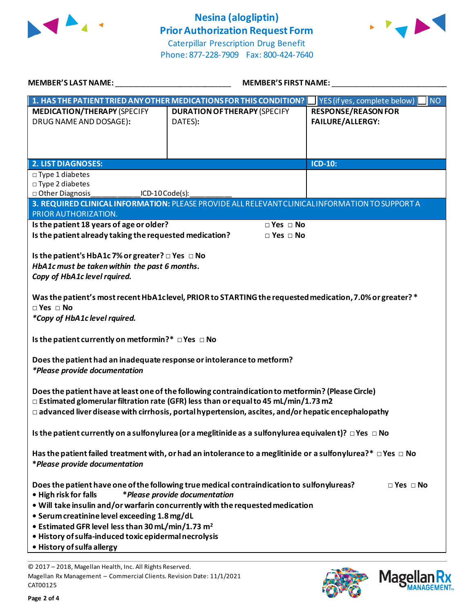

# **Nesina (alogliptin) Prior Authorization Request Form**



Caterpillar Prescription Drug Benefit Phone: 877-228-7909 Fax: 800-424-7640

| <b>MEMBER'S LAST NAME:</b>                                                                                                                                                                             | <b>MEMBER'S FIRST NAME:</b>                                                                              |                                           |  |  |  |
|--------------------------------------------------------------------------------------------------------------------------------------------------------------------------------------------------------|----------------------------------------------------------------------------------------------------------|-------------------------------------------|--|--|--|
|                                                                                                                                                                                                        | 1. HAS THE PATIENT TRIED ANY OTHER MEDICATIONS FOR THIS CONDITION?                                       | YES (if yes, complete below)<br><b>NO</b> |  |  |  |
| <b>MEDICATION/THERAPY (SPECIFY</b>                                                                                                                                                                     | <b>DURATION OF THERAPY (SPECIFY</b>                                                                      | <b>RESPONSE/REASON FOR</b>                |  |  |  |
| DRUG NAME AND DOSAGE):                                                                                                                                                                                 | DATES):                                                                                                  | <b>FAILURE/ALLERGY:</b>                   |  |  |  |
|                                                                                                                                                                                                        |                                                                                                          |                                           |  |  |  |
|                                                                                                                                                                                                        |                                                                                                          |                                           |  |  |  |
| <b>2. LIST DIAGNOSES:</b>                                                                                                                                                                              |                                                                                                          | $ICD-10:$                                 |  |  |  |
| $\square$ Type 1 diabetes                                                                                                                                                                              |                                                                                                          |                                           |  |  |  |
| □ Type 2 diabetes<br>□ Other Diagnosis<br>$ICD-10Code(s):$                                                                                                                                             |                                                                                                          |                                           |  |  |  |
| 3. REQUIRED CLINICAL INFORMATION: PLEASE PROVIDE ALL RELEVANT CLINICAL INFORMATION TO SUPPORT A<br>PRIOR AUTHORIZATION.                                                                                |                                                                                                          |                                           |  |  |  |
| Is the patient 18 years of age or older?                                                                                                                                                               | $\square$ Yes $\square$ No                                                                               |                                           |  |  |  |
| Is the patient already taking the requested medication?                                                                                                                                                | $\Box$ Yes $\Box$ No                                                                                     |                                           |  |  |  |
| Is the patient's HbA1c 7% or greater? □ Yes □ No                                                                                                                                                       |                                                                                                          |                                           |  |  |  |
| HbA1c must be taken within the past 6 months.                                                                                                                                                          |                                                                                                          |                                           |  |  |  |
| Copy of HbA1c level rquired.                                                                                                                                                                           |                                                                                                          |                                           |  |  |  |
|                                                                                                                                                                                                        |                                                                                                          |                                           |  |  |  |
| $\Box$ Yes $\Box$ No                                                                                                                                                                                   | Was the patient's most recent HbA1clevel, PRIOR to STARTING the requested medication, 7.0% or greater? * |                                           |  |  |  |
| *Copy of HbA1c level rquired.                                                                                                                                                                          |                                                                                                          |                                           |  |  |  |
|                                                                                                                                                                                                        |                                                                                                          |                                           |  |  |  |
| Is the patient currently on metformin?* □ Yes □ No                                                                                                                                                     |                                                                                                          |                                           |  |  |  |
| Does the patient had an inadequate response or intolerance to metform?                                                                                                                                 |                                                                                                          |                                           |  |  |  |
| *Please provide documentation                                                                                                                                                                          |                                                                                                          |                                           |  |  |  |
|                                                                                                                                                                                                        |                                                                                                          |                                           |  |  |  |
| Does the patient have at least one of the following contraindication to metformin? (Please Circle)                                                                                                     |                                                                                                          |                                           |  |  |  |
| $\Box$ Estimated glomerular filtration rate (GFR) less than or equal to 45 mL/min/1.73 m2<br>$\Box$ advanced liver disease with cirrhosis, portal hypertension, ascites, and/or hepatic encephalopathy |                                                                                                          |                                           |  |  |  |
|                                                                                                                                                                                                        |                                                                                                          |                                           |  |  |  |
| Is the patient currently on a sulfonylurea (or a meglitinide as a sulfonylurea equivalent)? $\Box$ Yes $\Box$ No                                                                                       |                                                                                                          |                                           |  |  |  |
|                                                                                                                                                                                                        |                                                                                                          |                                           |  |  |  |
| Has the patient failed treatment with, or had an intolerance to a meglitinide or a sulfonylurea?* $\Box$ Yes $\Box$ No<br>*Please provide documentation                                                |                                                                                                          |                                           |  |  |  |
|                                                                                                                                                                                                        |                                                                                                          |                                           |  |  |  |
|                                                                                                                                                                                                        | Does the patient have one of the following true medical contraindication to sulfonylureas?               | $\Box$ Yes $\Box$ No                      |  |  |  |
| *Please provide documentation<br>• High risk for falls                                                                                                                                                 |                                                                                                          |                                           |  |  |  |
| . Will take insulin and/or warfarin concurrently with the requested medication<br>• Serum creatinine level exceeding 1.8 mg/dL                                                                         |                                                                                                          |                                           |  |  |  |
| • Estimated GFR level less than 30 mL/min/1.73 m <sup>2</sup>                                                                                                                                          |                                                                                                          |                                           |  |  |  |
| · History of sulfa-induced toxic epidermal necrolysis                                                                                                                                                  |                                                                                                          |                                           |  |  |  |
| · History of sulfa allergy                                                                                                                                                                             |                                                                                                          |                                           |  |  |  |

© 2017 – 2018, Magellan Health, Inc. All Rights Reserved. Magellan Rx Management – Commercial Clients. Revision Date: 11/1/2021 CAT00125



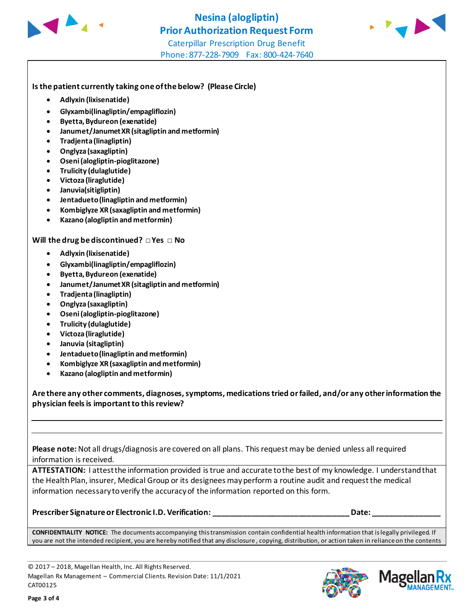



#### **Is the patient currently taking one of the below? (Please Circle)**

- **Adlyxin (lixisenatide)**
- **Glyxambi(linagliptin/empagliflozin)**
- **Byetta, Bydureon (exenatide)**
- **Janumet/Janumet XR (sitagliptin and metformin)**
- **Tradjenta (linagliptin)**
- **Onglyza (saxagliptin)**
- **Oseni (alogliptin-pioglitazone)**
- **Trulicity (dulaglutide)**
- **Victoza (liraglutide)**
- **Januvia(sitigliptin)**
- **Jentadueto(linagliptin and metformin)**
- **Kombiglyze XR (saxagliptin and metformin)**
- **Kazano (alogliptin and metformin)**

#### **Will the drug be discontinued? □ Yes □ No**

- **Adlyxin (lixisenatide)**
- **Glyxambi(linagliptin/empagliflozin)**
- **Byetta, Bydureon (exenatide)**
- **Janumet/Janumet XR (sitagliptin and metformin)**
- **Tradjenta (linagliptin)**
- **Onglyza (saxagliptin)**
- **Oseni (alogliptin-pioglitazone)**
- **Trulicity (dulaglutide)**
- **Victoza (liraglutide)**
- **Januvia (sitagliptin)**
- **Jentadueto (linagliptin and metformin)**
- **Kombiglyze XR (saxagliptin and metformin)**
- **Kazano (alogliptin and metformin)**

**Are there any other comments, diagnoses, symptoms, medications tried or failed, and/or any other information the physician feels is important to this review?**

**Please note:** Not all drugs/diagnosis are covered on all plans. This request may be denied unless all required information is received.

**ATTESTATION:** I attest the information provided is true and accurate to the best of my knowledge. I understand that the Health Plan, insurer, Medical Group or its designees may perform a routine audit and request the medical information necessary to verify the accuracy of the information reported on this form.

**Prescriber Signature or Electronic I.D. Verification: \_\_\_\_\_\_\_\_\_\_\_\_\_\_\_\_\_\_\_\_\_\_\_\_\_\_\_\_\_\_\_\_ Date: \_\_\_\_\_\_\_\_\_\_\_\_\_\_\_\_**

**CONFIDENTIALITY NOTICE:** The documents accompanying this transmission contain confidential health information that is legally privileged. If you are not the intended recipient, you are hereby notified that any disclosure , copying, distribution, or action taken in reliance on the contents

© 2017 – 2018, Magellan Health, Inc. All Rights Reserved. Magellan Rx Management – Commercial Clients. Revision Date: 11/1/2021 CAT00125